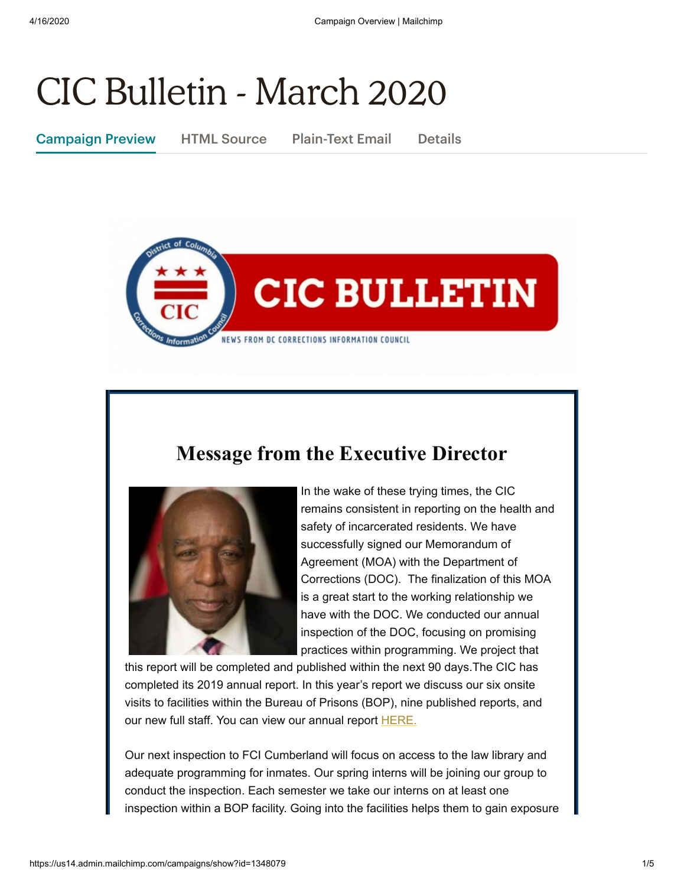# CIC Bulletin - March 2020

Campaign Preview HTML Source Plain-Text Email Details



## **Message from the Executive Director**



In the wake of these trying times, the CIC remains consistent in reporting on the health and safety of incarcerated residents. We have successfully signed our Memorandum of Agreement (MOA) with the Department of Corrections (DOC). The finalization of this MOA is a great start to the working relationship we have with the DOC. We conducted our annual inspection of the DOC, focusing on promising practices within programming. We project that

this report will be completed and published within the next 90 days.The CIC has completed its 2019 annual report. In this year's report we discuss our six onsite visits to facilities within the Bureau of Prisons (BOP), nine published reports, and our new full staff. You can view our annual report [HERE.](https://cic.dc.gov/sites/default/files/dc/sites/cic/page_content/attachments/CIC%20Annual%20Report%20FY%202019%20FINAL.pdf)

Our next inspection to FCI Cumberland will focus on access to the law library and adequate programming for inmates. Our spring interns will be joining our group to conduct the inspection. Each semester we take our interns on at least one inspection within a BOP facility. Going into the facilities helps them to gain exposure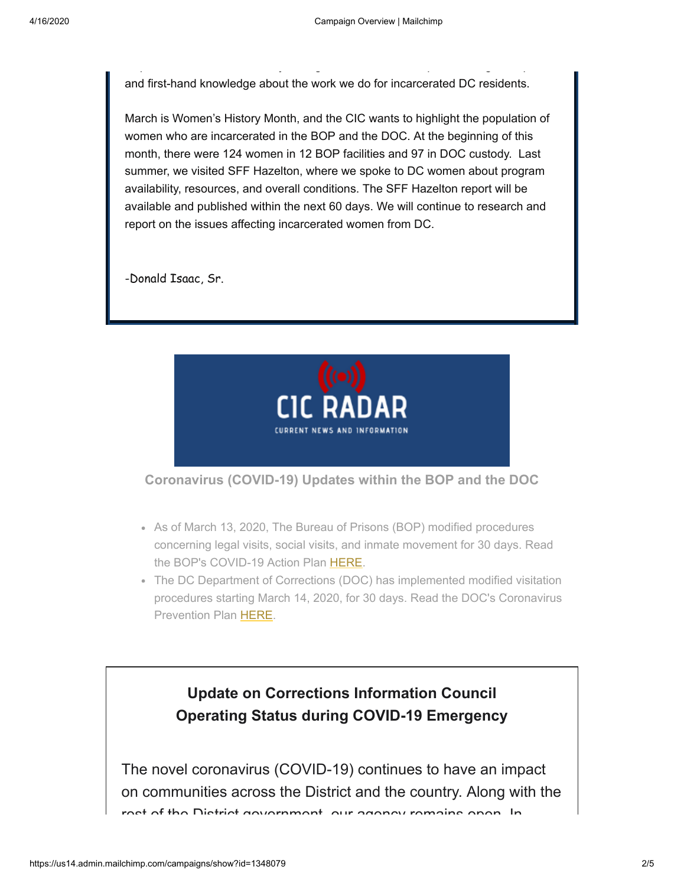and first-hand knowledge about the work we do for incarcerated DC residents.

p y g p g p

March is Women's History Month, and the CIC wants to highlight the population of women who are incarcerated in the BOP and the DOC. At the beginning of this month, there were 124 women in 12 BOP facilities and 97 in DOC custody. Last summer, we visited SFF Hazelton, where we spoke to DC women about program availability, resources, and overall conditions. The SFF Hazelton report will be available and published within the next 60 days. We will continue to research and report on the issues affecting incarcerated women from DC.

-Donald Isaac, Sr.



**Coronavirus (COVID-19) Updates within the BOP and the DOC**

- As of March 13, 2020, The Bureau of Prisons (BOP) modified procedures concerning legal visits, social visits, and inmate movement for 30 days. Read the BOP's COVID-19 Action Plan [HERE.](https://www.bop.gov/resources/news/20200313_covid-19.jsp)
- The DC Department of Corrections (DOC) has implemented modified visitation procedures starting March 14, 2020, for 30 days. Read the DOC's Coronavirus Prevention Plan [HERE](https://doc.dc.gov/page/coronavirus-prevention).

#### **Update on Corrections Information Council Operating Status during COVID-19 Emergency**

The novel coronavirus (COVID-19) continues to have an impact on communities across the District and the country. Along with the rest of the District government our agency remains open In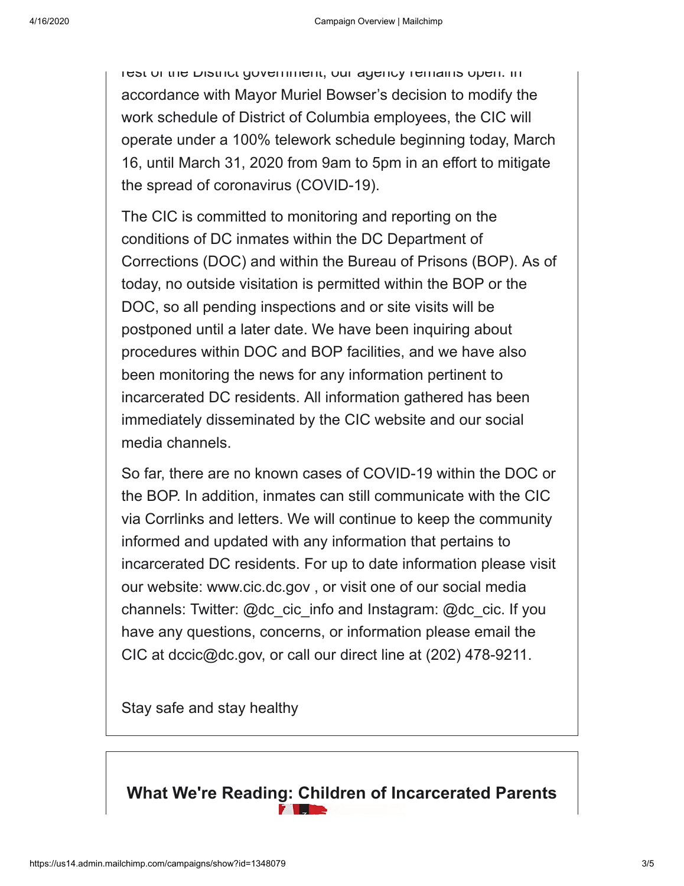rest of the District government, our agency remains open. In accordance with Mayor Muriel Bowser's decision to modify the work schedule of District of Columbia employees, the CIC will operate under a 100% telework schedule beginning today, March 16, until March 31, 2020 from 9am to 5pm in an effort to mitigate the spread of coronavirus (COVID-19).

The CIC is committed to monitoring and reporting on the conditions of DC inmates within the DC Department of Corrections (DOC) and within the Bureau of Prisons (BOP). As of today, no outside visitation is permitted within the BOP or the DOC, so all pending inspections and or site visits will be postponed until a later date. We have been inquiring about procedures within DOC and BOP facilities, and we have also been monitoring the news for any information pertinent to incarcerated DC residents. All information gathered has been immediately disseminated by the CIC website and our social media channels.

So far, there are no known cases of COVID-19 within the DOC or the BOP. In addition, inmates can still communicate with the CIC via Corrlinks and letters. We will continue to keep the community informed and updated with any information that pertains to incarcerated DC residents. For up to date information please visit our website: www.cic.dc.gov , or visit one of our social media channels: Twitter: @dc\_cic\_info and Instagram: @dc\_cic. If you have any questions, concerns, or information please email the CIC at dccic@dc.gov, or call our direct line at (202) 478-9211.

Stay safe and stay healthy

### **What We're Reading: Children of Incarcerated Parents**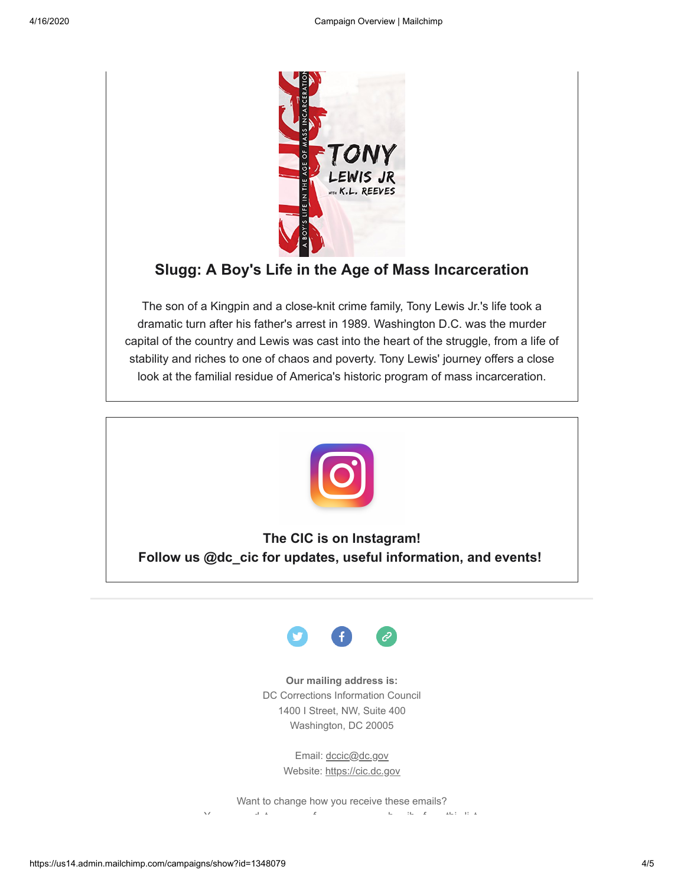

#### **Slugg: A Boy's Life in the Age of Mass Incarceration**

The son of a Kingpin and a close-knit crime family, Tony Lewis Jr.'s life took a dramatic turn after his father's arrest in 1989. Washington D.C. was the murder capital of the country and Lewis was cast into the heart of the struggle, from a life of stability and riches to one of chaos and poverty. Tony Lewis' journey offers a close look at the familial residue of America's historic program of mass incarceration.



**The CIC is on Instagram! Follow us @dc\_cic for updates, useful information, and events!** 



#### **Our mailing address is:**

DC Corrections Information Council 1400 I Street, NW, Suite 400 Washington, DC 20005

> Email: [dccic@dc.gov](mailto:https://cic.dc.gov/) Website: [https://cic.dc.gov](https://cic.dc.gov/)

Want to change how you receive these emails?  $Y$  [d](https://cic.us14.list-manage.com/profile?u=bdc24a13dbc7ad8bb87aa8081&id=d90aa0da6e&e=[UNIQID]) t f b ib f [thi](https://cic.us14.list-manage.com/unsubscribe?u=bdc24a13dbc7ad8bb87aa8081&id=d90aa0da6e&e=[UNIQID]&c=d6677431d7)s f b ib f this f b ib f this f this f think  $f$